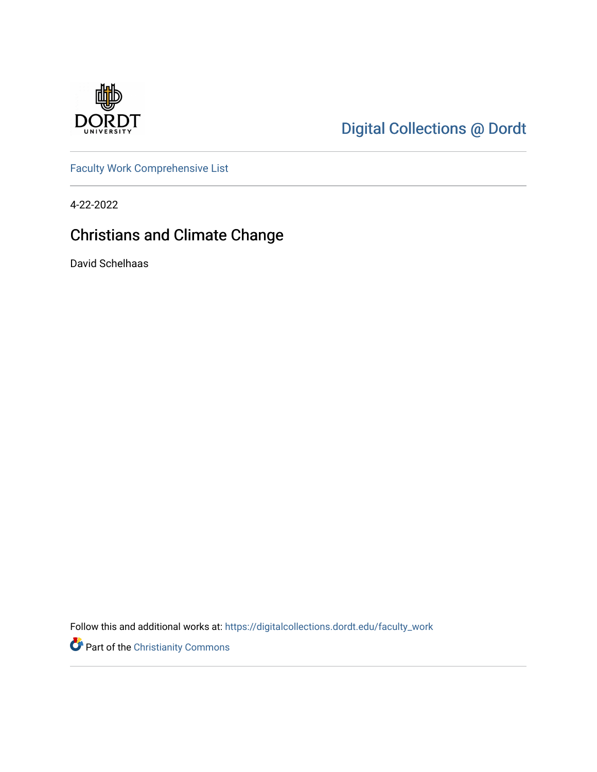

# [Digital Collections @ Dordt](https://digitalcollections.dordt.edu/)

[Faculty Work Comprehensive List](https://digitalcollections.dordt.edu/faculty_work)

4-22-2022

# Christians and Climate Change

David Schelhaas

Follow this and additional works at: [https://digitalcollections.dordt.edu/faculty\\_work](https://digitalcollections.dordt.edu/faculty_work?utm_source=digitalcollections.dordt.edu%2Ffaculty_work%2F1383&utm_medium=PDF&utm_campaign=PDFCoverPages) 

Part of the [Christianity Commons](http://network.bepress.com/hgg/discipline/1181?utm_source=digitalcollections.dordt.edu%2Ffaculty_work%2F1383&utm_medium=PDF&utm_campaign=PDFCoverPages)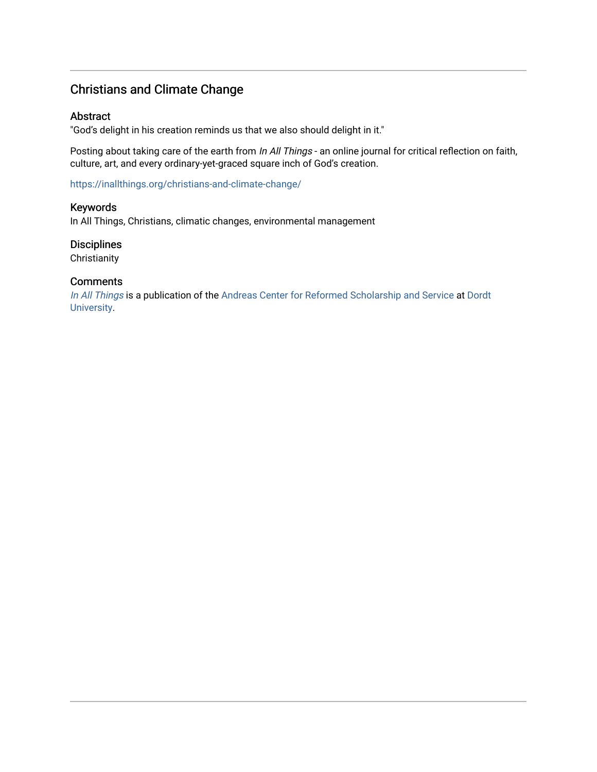# Christians and Climate Change

#### Abstract

"God's delight in his creation reminds us that we also should delight in it."

Posting about taking care of the earth from In All Things - an online journal for critical reflection on faith, culture, art, and every ordinary-yet-graced square inch of God's creation.

<https://inallthings.org/christians-and-climate-change/>

Keywords In All Things, Christians, climatic changes, environmental management

Disciplines **Christianity** 

#### **Comments**

[In All Things](http://inallthings.org/) is a publication of the [Andreas Center for Reformed Scholarship and Service](http://www.dordt.edu/services_support/andreas_center/) at Dordt [University](http://www.dordt.edu/).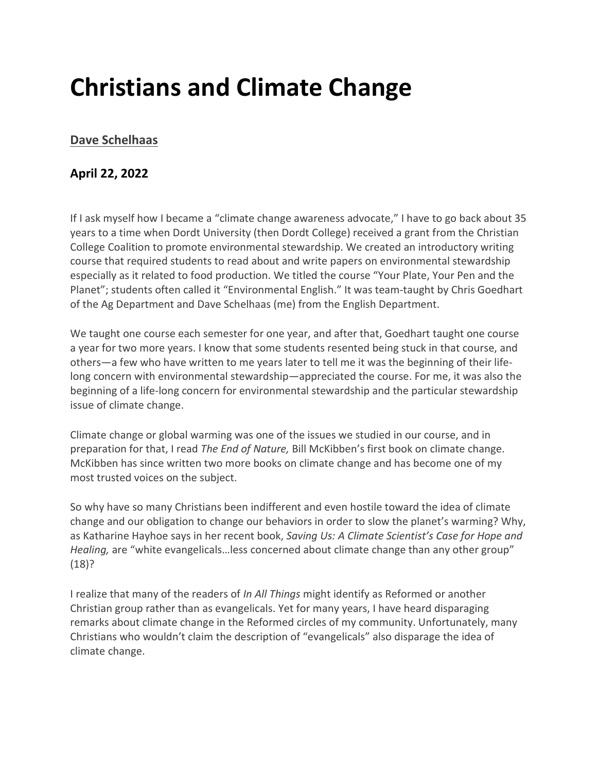# **Christians and Climate Change**

# **[Dave Schelhaas](https://inallthings.org/author/dave-schelhaas/)**

# **April 22, 2022**

If I ask myself how I became a "climate change awareness advocate," I have to go back about 35 years to a time when Dordt University (then Dordt College) received a grant from the Christian College Coalition to promote environmental stewardship. We created an introductory writing course that required students to read about and write papers on environmental stewardship especially as it related to food production. We titled the course "Your Plate, Your Pen and the Planet"; students often called it "Environmental English." It was team-taught by Chris Goedhart of the Ag Department and Dave Schelhaas (me) from the English Department.

We taught one course each semester for one year, and after that, Goedhart taught one course a year for two more years. I know that some students resented being stuck in that course, and others—a few who have written to me years later to tell me it was the beginning of their lifelong concern with environmental stewardship—appreciated the course. For me, it was also the beginning of a life-long concern for environmental stewardship and the particular stewardship issue of climate change.

Climate change or global warming was one of the issues we studied in our course, and in preparation for that, I read *The End of Nature,* Bill McKibben's first book on climate change. McKibben has since written two more books on climate change and has become one of my most trusted voices on the subject.

So why have so many Christians been indifferent and even hostile toward the idea of climate change and our obligation to change our behaviors in order to slow the planet's warming? Why, as Katharine Hayhoe says in her recent book, *Saving Us: A Climate Scientist's Case for Hope and Healing,* are "white evangelicals…less concerned about climate change than any other group" (18)?

I realize that many of the readers of *In All Things* might identify as Reformed or another Christian group rather than as evangelicals. Yet for many years, I have heard disparaging remarks about climate change in the Reformed circles of my community. Unfortunately, many Christians who wouldn't claim the description of "evangelicals" also disparage the idea of climate change.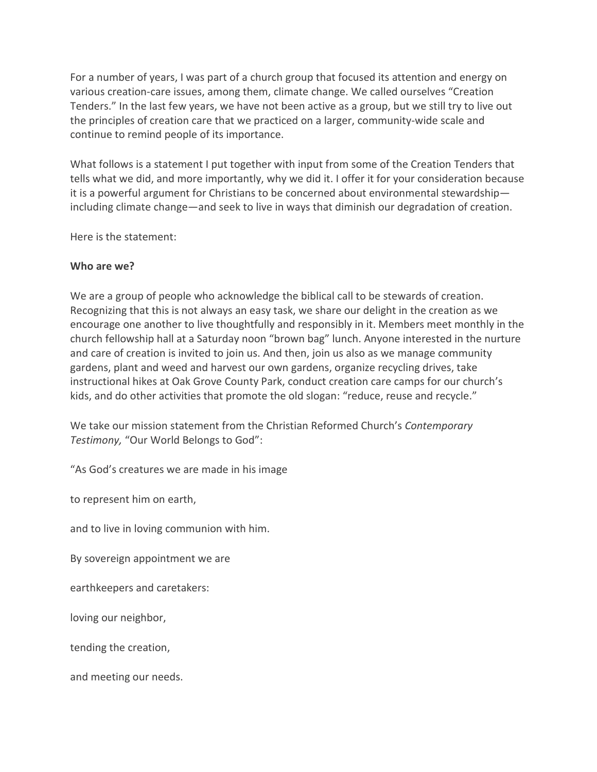For a number of years, I was part of a church group that focused its attention and energy on various creation-care issues, among them, climate change. We called ourselves "Creation Tenders." In the last few years, we have not been active as a group, but we still try to live out the principles of creation care that we practiced on a larger, community-wide scale and continue to remind people of its importance.

What follows is a statement I put together with input from some of the Creation Tenders that tells what we did, and more importantly, why we did it. I offer it for your consideration because it is a powerful argument for Christians to be concerned about environmental stewardship including climate change—and seek to live in ways that diminish our degradation of creation.

Here is the statement:

### **Who are we?**

We are a group of people who acknowledge the biblical call to be stewards of creation. Recognizing that this is not always an easy task, we share our delight in the creation as we encourage one another to live thoughtfully and responsibly in it. Members meet monthly in the church fellowship hall at a Saturday noon "brown bag" lunch. Anyone interested in the nurture and care of creation is invited to join us. And then, join us also as we manage community gardens, plant and weed and harvest our own gardens, organize recycling drives, take instructional hikes at Oak Grove County Park, conduct creation care camps for our church's kids, and do other activities that promote the old slogan: "reduce, reuse and recycle."

We take our mission statement from the Christian Reformed Church's *Contemporary Testimony,* "Our World Belongs to God":

"As God's creatures we are made in his image

to represent him on earth,

and to live in loving communion with him.

By sovereign appointment we are

earthkeepers and caretakers:

loving our neighbor,

tending the creation,

and meeting our needs.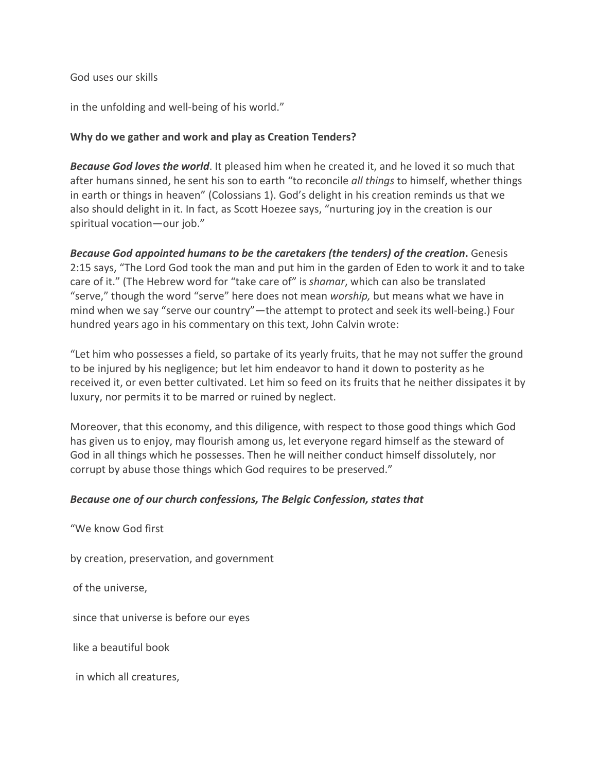### God uses our skills

in the unfolding and well-being of his world."

## **Why do we gather and work and play as Creation Tenders?**

*Because God loves the world*. It pleased him when he created it, and he loved it so much that after humans sinned, he sent his son to earth "to reconcile *all things* to himself, whether things in earth or things in heaven" (Colossians 1). God's delight in his creation reminds us that we also should delight in it. In fact, as Scott Hoezee says, "nurturing joy in the creation is our spiritual vocation—our job."

*Because God appointed humans to be the caretakers (the tenders) of the creation***.** Genesis 2:15 says, "The Lord God took the man and put him in the garden of Eden to work it and to take care of it." (The Hebrew word for "take care of" is *shamar*, which can also be translated "serve," though the word "serve" here does not mean *worship,* but means what we have in mind when we say "serve our country"—the attempt to protect and seek its well-being.) Four hundred years ago in his commentary on this text, John Calvin wrote:

"Let him who possesses a field, so partake of its yearly fruits, that he may not suffer the ground to be injured by his negligence; but let him endeavor to hand it down to posterity as he received it, or even better cultivated. Let him so feed on its fruits that he neither dissipates it by luxury, nor permits it to be marred or ruined by neglect.

Moreover, that this economy, and this diligence, with respect to those good things which God has given us to enjoy, may flourish among us, let everyone regard himself as the steward of God in all things which he possesses. Then he will neither conduct himself dissolutely, nor corrupt by abuse those things which God requires to be preserved."

### *Because one of our church confessions, The Belgic Confession, states that*

"We know God first

by creation, preservation, and government

of the universe,

since that universe is before our eyes

like a beautiful book

in which all creatures,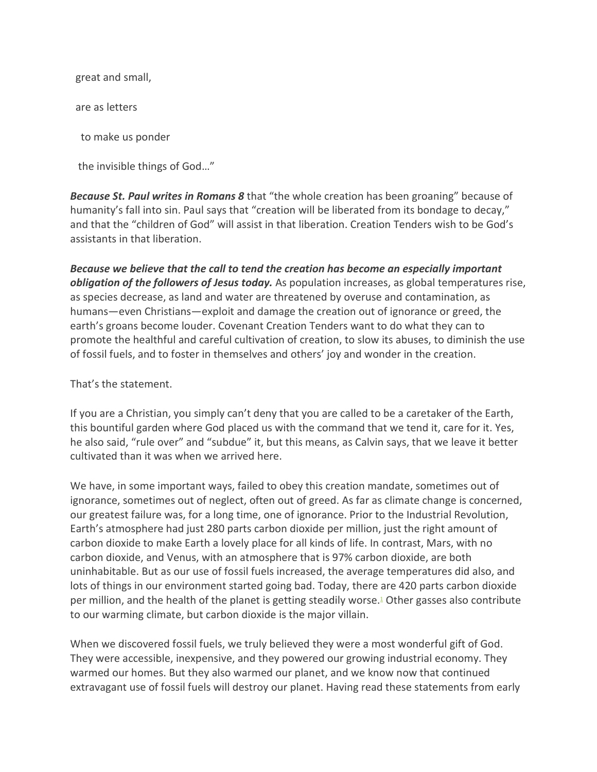great and small,

are as letters

to make us ponder

the invisible things of God…"

*Because St. Paul writes in Romans 8* that "the whole creation has been groaning" because of humanity's fall into sin. Paul says that "creation will be liberated from its bondage to decay," and that the "children of God" will assist in that liberation. Creation Tenders wish to be God's assistants in that liberation.

*Because we believe that the call to tend the creation has become an especially important obligation of the followers of Jesus today.* As population increases, as global temperatures rise, as species decrease, as land and water are threatened by overuse and contamination, as humans—even Christians—exploit and damage the creation out of ignorance or greed, the earth's groans become louder. Covenant Creation Tenders want to do what they can to promote the healthful and careful cultivation of creation, to slow its abuses, to diminish the use of fossil fuels, and to foster in themselves and others' joy and wonder in the creation.

That's the statement.

If you are a Christian, you simply can't deny that you are called to be a caretaker of the Earth, this bountiful garden where God placed us with the command that we tend it, care for it. Yes, he also said, "rule over" and "subdue" it, but this means, as Calvin says, that we leave it better cultivated than it was when we arrived here.

We have, in some important ways, failed to obey this creation mandate, sometimes out of ignorance, sometimes out of neglect, often out of greed. As far as climate change is concerned, our greatest failure was, for a long time, one of ignorance. Prior to the Industrial Revolution, Earth's atmosphere had just 280 parts carbon dioxide per million, just the right amount of carbon dioxide to make Earth a lovely place for all kinds of life. In contrast, Mars, with no carbon dioxide, and Venus, with an atmosphere that is 97% carbon dioxide, are both uninhabitable. But as our use of fossil fuels increased, the average temperatures did also, and lots of things in our environment started going bad. Today, there are 420 parts carbon dioxide per million, and the health of the planet is getting steadily worse[.1](https://inallthings.org/christians-and-climate-change/#fn1-22542) Other gasses also contribute to our warming climate, but carbon dioxide is the major villain.

When we discovered fossil fuels, we truly believed they were a most wonderful gift of God. They were accessible, inexpensive, and they powered our growing industrial economy. They warmed our homes. But they also warmed our planet, and we know now that continued extravagant use of fossil fuels will destroy our planet. Having read these statements from early